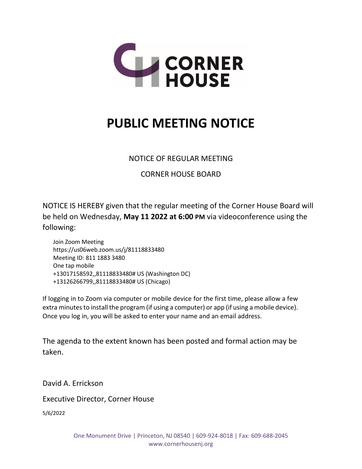

## **PUBLIC MEETING NOTICE**

## NOTICE OF REGULAR MEETING

CORNER HOUSE BOARD

NOTICE IS HEREBY given that the regular meeting of the Corner House Board will be held on Wednesday, **May 11 2022 at 6:00 PM** via videoconference using the following:

Join Zoom Meeting https://us06web.zoom.us/j/81118833480 Meeting ID: 811 1883 3480 One tap mobile +13017158592,,81118833480# US (Washington DC) +13126266799,,81118833480# US (Chicago)

If logging in to Zoom via computer or mobile device for the first time, please allow a few extra minutes to install the program (if using a computer) or app (if using a mobile device). Once you log in, you will be asked to enter your name and an email address.

The agenda to the extent known has been posted and formal action may be taken.

David A. Errickson

Executive Director, Corner House

5/6/2022